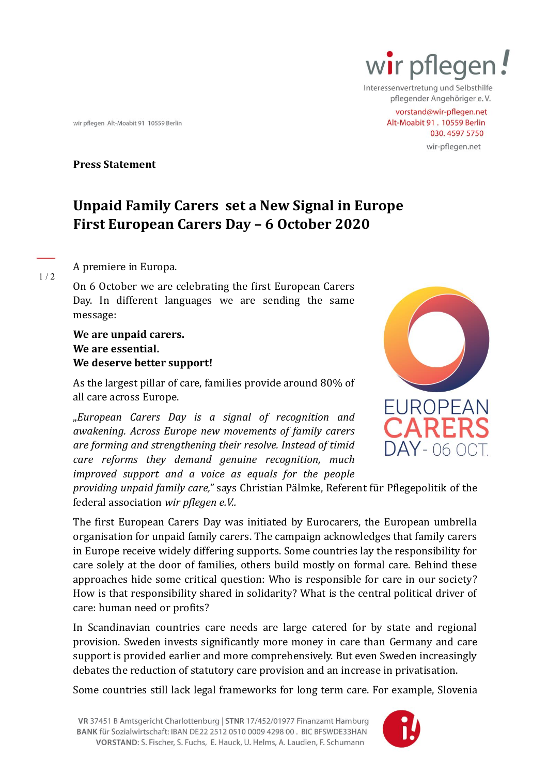

Interessenvertretung und Selbsthilfe pflegender Angehöriger e.V.

> vorstand@wir-pflegen.net Alt-Moabit 91, 10559 Berlin 030.45975750

wir-pflegen.net

**Press Statement**

wir pflegen Alt-Moabit 91 10559 Berlin

# **Unpaid Family Carers set a New Signal in Europe First European Carers Day – 6 October 2020**

A premiere in Europa.

 $1/2$ 

On 6 October we are celebrating the first European Carers Day. In different languages we are sending the same message:

## **We are unpaid carers. We are essential. We deserve better support!**

As the largest pillar of care, families provide around 80% of all care across Europe.

"*European Carers Day is a signal of recognition and awakening. Across Europe new movements of family carers are forming and strengthening their resolve. Instead of timid care reforms they demand genuine recognition, much improved support and a voice as equals for the people* 



*providing unpaid family care,"* says Christian Pälmke, Referent für Pflegepolitik of the federal association *wir pflegen e.V..*

The first European Carers Day was initiated by Eurocarers, the European umbrella organisation for unpaid family carers. The campaign acknowledges that family carers in Europe receive widely differing supports. Some countries lay the responsibility for care solely at the door of families, others build mostly on formal care. Behind these approaches hide some critical question: Who is responsible for care in our society? How is that responsibility shared in solidarity? What is the central political driver of care: human need or profits?

In Scandinavian countries care needs are large catered for by state and regional provision. Sweden invests significantly more money in care than Germany and care support is provided earlier and more comprehensively. But even Sweden increasingly debates the reduction of statutory care provision and an increase in privatisation.

Some countries still lack legal frameworks for long term care. For example, Slovenia